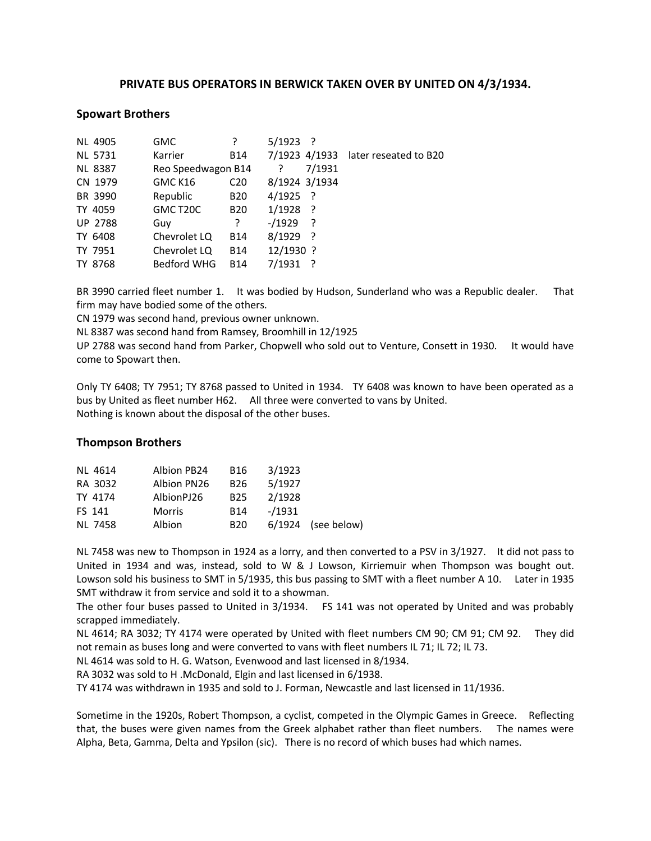# **PRIVATE BUS OPERATORS IN BERWICK TAKEN OVER BY UNITED ON 4/3/1934.**

### **Spowart Brothers**

| <b>NL 4905</b> | <b>GMC</b>            | ?               | $5/1923$ ?    |        |                                     |
|----------------|-----------------------|-----------------|---------------|--------|-------------------------------------|
| <b>NL 5731</b> | Karrier               | B14             |               |        | 7/1923 4/1933 later reseated to B20 |
| <b>NL 8387</b> | Reo Speedwagon B14    |                 |               | 7/1931 |                                     |
| CN 1979        | GMC K16               | C <sub>20</sub> | 8/1924 3/1934 |        |                                     |
| BR 3990        | Republic              | <b>B20</b>      | $4/1925$ ?    |        |                                     |
| TY 4059        | GMC T <sub>20</sub> C | <b>B20</b>      | 1/1928        | - ?    |                                     |
| <b>UP 2788</b> | Guy                   | ?               | $-1929$       | ?      |                                     |
| TY 6408        | Chevrolet LQ          | <b>B14</b>      | $8/1929$ ?    |        |                                     |
| TY 7951        | Chevrolet LQ          | <b>B14</b>      | 12/1930 ?     |        |                                     |
| TY 8768        | <b>Bedford WHG</b>    | <b>B14</b>      | 7/1931        |        |                                     |

BR 3990 carried fleet number 1. It was bodied by Hudson, Sunderland who was a Republic dealer. That firm may have bodied some of the others.

CN 1979 was second hand, previous owner unknown.

NL 8387 was second hand from Ramsey, Broomhill in 12/1925

UP 2788 was second hand from Parker, Chopwell who sold out to Venture, Consett in 1930. It would have come to Spowart then.

Only TY 6408; TY 7951; TY 8768 passed to United in 1934. TY 6408 was known to have been operated as a bus by United as fleet number H62. All three were converted to vans by United. Nothing is known about the disposal of the other buses.

# **Thompson Brothers**

| <b>NL 4614</b> | Albion PB24   | B16             | 3/1923  |                      |
|----------------|---------------|-----------------|---------|----------------------|
| RA 3032        | Albion PN26   | B <sub>26</sub> | 5/1927  |                      |
| TY 4174        | AlbionPJ26    | <b>B25</b>      | 2/1928  |                      |
| FS 141         | <b>Morris</b> | <b>B14</b>      | $-1931$ |                      |
| NL 7458        | Albion        | <b>B20</b>      |         | $6/1924$ (see below) |

NL 7458 was new to Thompson in 1924 as a lorry, and then converted to a PSV in 3/1927. It did not pass to United in 1934 and was, instead, sold to W & J Lowson, Kirriemuir when Thompson was bought out. Lowson sold his business to SMT in 5/1935, this bus passing to SMT with a fleet number A 10. Later in 1935 SMT withdraw it from service and sold it to a showman.

The other four buses passed to United in 3/1934. FS 141 was not operated by United and was probably scrapped immediately.

NL 4614; RA 3032; TY 4174 were operated by United with fleet numbers CM 90; CM 91; CM 92. They did not remain as buses long and were converted to vans with fleet numbers IL 71; IL 72; IL 73.

NL 4614 was sold to H. G. Watson, Evenwood and last licensed in 8/1934.

RA 3032 was sold to H .McDonald, Elgin and last licensed in 6/1938.

TY 4174 was withdrawn in 1935 and sold to J. Forman, Newcastle and last licensed in 11/1936.

Sometime in the 1920s, Robert Thompson, a cyclist, competed in the Olympic Games in Greece. Reflecting that, the buses were given names from the Greek alphabet rather than fleet numbers. The names were Alpha, Beta, Gamma, Delta and Ypsilon (sic). There is no record of which buses had which names.